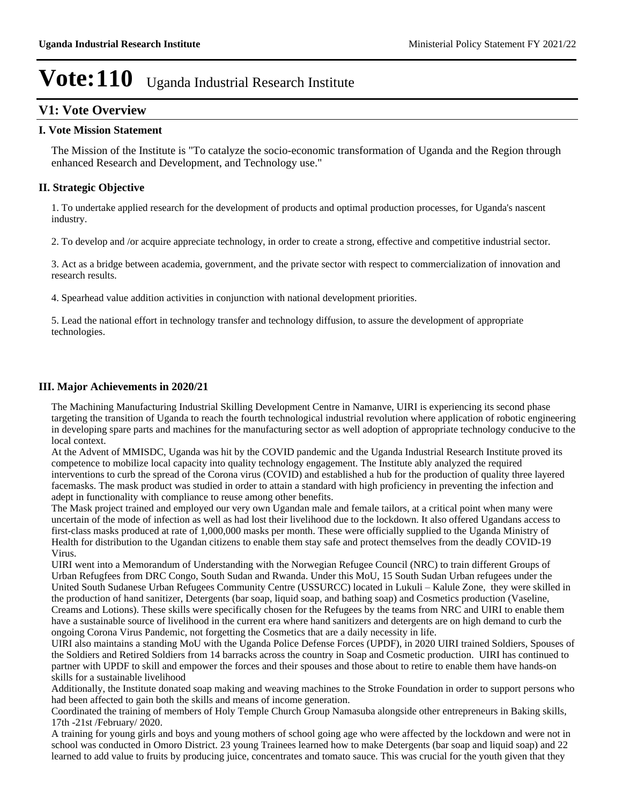### **V1: Vote Overview**

### **I. Vote Mission Statement**

The Mission of the Institute is "To catalyze the socio-economic transformation of Uganda and the Region through enhanced Research and Development, and Technology use."

### **II. Strategic Objective**

1. To undertake applied research for the development of products and optimal production processes, for Uganda's nascent industry.

2. To develop and /or acquire appreciate technology, in order to create a strong, effective and competitive industrial sector.

3. Act as a bridge between academia, government, and the private sector with respect to commercialization of innovation and research results.

4. Spearhead value addition activities in conjunction with national development priorities.

5. Lead the national effort in technology transfer and technology diffusion, to assure the development of appropriate technologies.

### **III. Major Achievements in 2020/21**

The Machining Manufacturing Industrial Skilling Development Centre in Namanve, UIRI is experiencing its second phase targeting the transition of Uganda to reach the fourth technological industrial revolution where application of robotic engineering in developing spare parts and machines for the manufacturing sector as well adoption of appropriate technology conducive to the local context.

At the Advent of MMISDC, Uganda was hit by the COVID pandemic and the Uganda Industrial Research Institute proved its competence to mobilize local capacity into quality technology engagement. The Institute ably analyzed the required interventions to curb the spread of the Corona virus (COVID) and established a hub for the production of quality three layered facemasks. The mask product was studied in order to attain a standard with high proficiency in preventing the infection and adept in functionality with compliance to reuse among other benefits.

The Mask project trained and employed our very own Ugandan male and female tailors, at a critical point when many were uncertain of the mode of infection as well as had lost their livelihood due to the lockdown. It also offered Ugandans access to first-class masks produced at rate of 1,000,000 masks per month. These were officially supplied to the Uganda Ministry of Health for distribution to the Ugandan citizens to enable them stay safe and protect themselves from the deadly COVID-19 Virus.

UIRI went into a Memorandum of Understanding with the Norwegian Refugee Council (NRC) to train different Groups of Urban Refugfees from DRC Congo, South Sudan and Rwanda. Under this MoU, 15 South Sudan Urban refugees under the United South Sudanese Urban Refugees Community Centre (USSURCC) located in Lukuli – Kalule Zone, they were skilled in the production of hand sanitizer, Detergents (bar soap, liquid soap, and bathing soap) and Cosmetics production (Vaseline, Creams and Lotions). These skills were specifically chosen for the Refugees by the teams from NRC and UIRI to enable them have a sustainable source of livelihood in the current era where hand sanitizers and detergents are on high demand to curb the ongoing Corona Virus Pandemic, not forgetting the Cosmetics that are a daily necessity in life.

UIRI also maintains a standing MoU with the Uganda Police Defense Forces (UPDF), in 2020 UIRI trained Soldiers, Spouses of the Soldiers and Retired Soldiers from 14 barracks across the country in Soap and Cosmetic production. UIRI has continued to partner with UPDF to skill and empower the forces and their spouses and those about to retire to enable them have hands-on skills for a sustainable livelihood

Additionally, the Institute donated soap making and weaving machines to the Stroke Foundation in order to support persons who had been affected to gain both the skills and means of income generation.

Coordinated the training of members of Holy Temple Church Group Namasuba alongside other entrepreneurs in Baking skills, 17th -21st /February/ 2020.

A training for young girls and boys and young mothers of school going age who were affected by the lockdown and were not in school was conducted in Omoro District. 23 young Trainees learned how to make Detergents (bar soap and liquid soap) and 22 learned to add value to fruits by producing juice, concentrates and tomato sauce. This was crucial for the youth given that they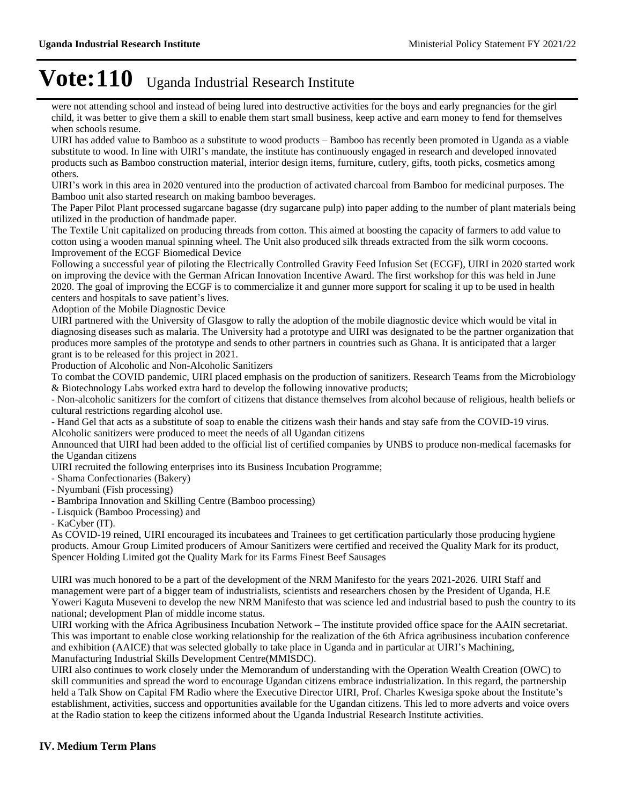were not attending school and instead of being lured into destructive activities for the boys and early pregnancies for the girl child, it was better to give them a skill to enable them start small business, keep active and earn money to fend for themselves when schools resume.

UIRI has added value to Bamboo as a substitute to wood products - Bamboo has recently been promoted in Uganda as a viable substitute to wood. In line with UIRI's mandate, the institute has continuously engaged in research and developed innovated products such as Bamboo construction material, interior design items, furniture, cutlery, gifts, tooth picks, cosmetics among others.

UIRI's work in this area in 2020 ventured into the production of activated charcoal from Bamboo for medicinal purposes. The Bamboo unit also started research on making bamboo beverages.

The Paper Pilot Plant processed sugarcane bagasse (dry sugarcane pulp) into paper adding to the number of plant materials being utilized in the production of handmade paper.

The Textile Unit capitalized on producing threads from cotton. This aimed at boosting the capacity of farmers to add value to cotton using a wooden manual spinning wheel. The Unit also produced silk threads extracted from the silk worm cocoons. Improvement of the ECGF Biomedical Device

Following a successful year of piloting the Electrically Controlled Gravity Feed Infusion Set (ECGF), UIRI in 2020 started work on improving the device with the German African Innovation Incentive Award. The first workshop for this was held in June 2020. The goal of improving the ECGF is to commercialize it and gunner more support for scaling it up to be used in health centers and hospitals to save patient's lives.

Adoption of the Mobile Diagnostic Device

UIRI partnered with the University of Glasgow to rally the adoption of the mobile diagnostic device which would be vital in diagnosing diseases such as malaria. The University had a prototype and UIRI was designated to be the partner organization that produces more samples of the prototype and sends to other partners in countries such as Ghana. It is anticipated that a larger grant is to be released for this project in 2021.

Production of Alcoholic and Non-Alcoholic Sanitizers

To combat the COVID pandemic, UIRI placed emphasis on the production of sanitizers. Research Teams from the Microbiology & Biotechnology Labs worked extra hard to develop the following innovative products;

- Non-alcoholic sanitizers for the comfort of citizens that distance themselves from alcohol because of religious, health beliefs or cultural restrictions regarding alcohol use.

- Hand Gel that acts as a substitute of soap to enable the citizens wash their hands and stay safe from the COVID-19 virus.

Alcoholic sanitizers were produced to meet the needs of all Ugandan citizens

Announced that UIRI had been added to the official list of certified companies by UNBS to produce non-medical facemasks for the Ugandan citizens

UIRI recruited the following enterprises into its Business Incubation Programme;

- Shama Confectionaries (Bakery)

- Nyumbani (Fish processing)

- Bambripa Innovation and Skilling Centre (Bamboo processing)

- Lisquick (Bamboo Processing) and

- KaCyber (IT).

As COVID-19 reined, UIRI encouraged its incubatees and Trainees to get certification particularly those producing hygiene products. Amour Group Limited producers of Amour Sanitizers were certified and received the Quality Mark for its product, Spencer Holding Limited got the Quality Mark for its Farms Finest Beef Sausages

UIRI was much honored to be a part of the development of the NRM Manifesto for the years 2021-2026. UIRI Staff and management were part of a bigger team of industrialists, scientists and researchers chosen by the President of Uganda, H.E Yoweri Kaguta Museveni to develop the new NRM Manifesto that was science led and industrial based to push the country to its national; development Plan of middle income status.

UIRI working with the Africa Agribusiness Incubation Network – The institute provided office space for the AAIN secretariat. This was important to enable close working relationship for the realization of the 6th Africa agribusiness incubation conference and exhibition (AAICE) that was selected globally to take place in Uganda and in particular at UIRI's Machining, Manufacturing Industrial Skills Development Centre(MMISDC).

UIRI also continues to work closely under the Memorandum of understanding with the Operation Wealth Creation (OWC) to skill communities and spread the word to encourage Ugandan citizens embrace industrialization. In this regard, the partnership held a Talk Show on Capital FM Radio where the Executive Director UIRI, Prof. Charles Kwesiga spoke about the Institute's establishment, activities, success and opportunities available for the Ugandan citizens. This led to more adverts and voice overs at the Radio station to keep the citizens informed about the Uganda Industrial Research Institute activities.

### **IV. Medium Term Plans**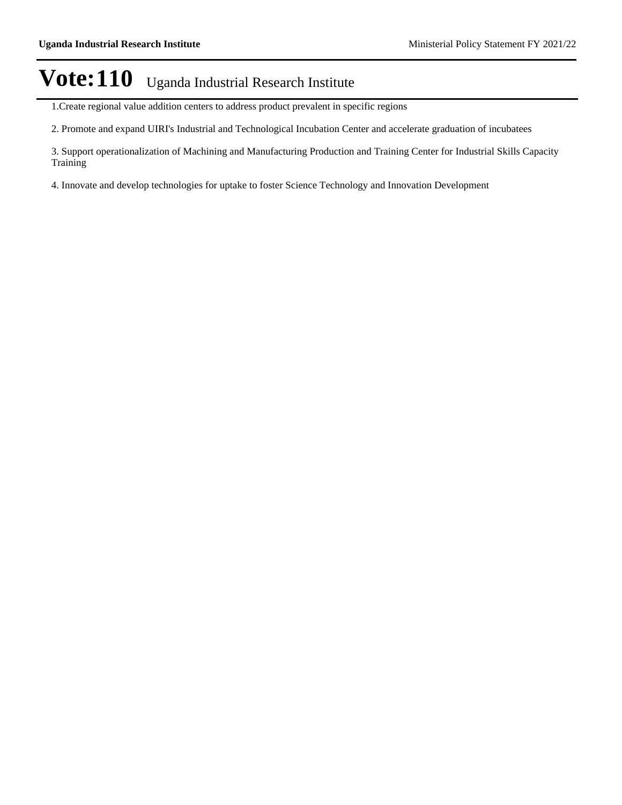- 1.Create regional value addition centers to address product prevalent in specific regions
- 2. Promote and expand UIRI's Industrial and Technological Incubation Center and accelerate graduation of incubatees
- 3. Support operationalization of Machining and Manufacturing Production and Training Center for Industrial Skills Capacity Training
- 4. Innovate and develop technologies for uptake to foster Science Technology and Innovation Development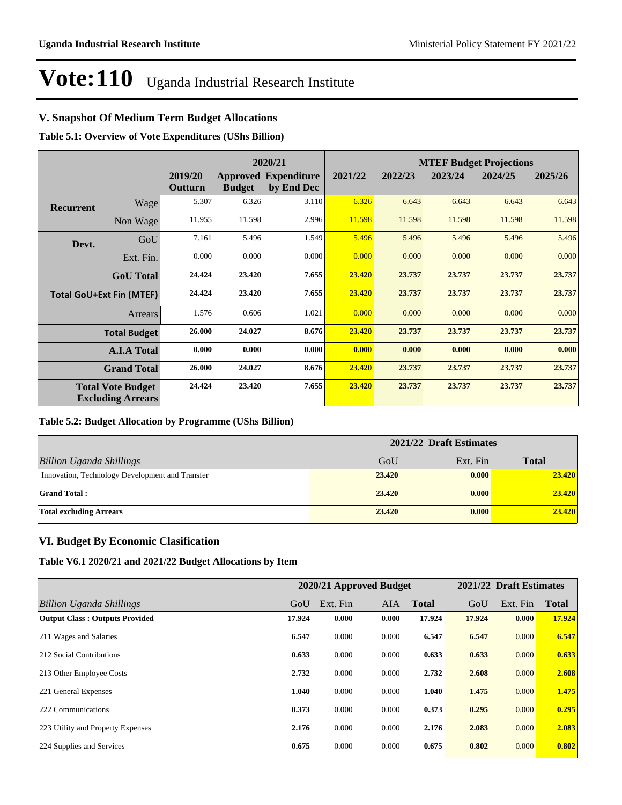### **V. Snapshot Of Medium Term Budget Allocations**

**Table 5.1: Overview of Vote Expenditures (UShs Billion)**

|                  |                                                      |                    | 2020/21       |                                           |         | <b>MTEF Budget Projections</b> |         |         |         |
|------------------|------------------------------------------------------|--------------------|---------------|-------------------------------------------|---------|--------------------------------|---------|---------|---------|
|                  |                                                      | 2019/20<br>Outturn | <b>Budget</b> | <b>Approved Expenditure</b><br>by End Dec | 2021/22 | 2022/23                        | 2023/24 | 2024/25 | 2025/26 |
| <b>Recurrent</b> | Wage                                                 | 5.307              | 6.326         | 3.110                                     | 6.326   | 6.643                          | 6.643   | 6.643   | 6.643   |
|                  | Non Wage                                             | 11.955             | 11.598        | 2.996                                     | 11.598  | 11.598                         | 11.598  | 11.598  | 11.598  |
| Devt.            | GoU                                                  | 7.161              | 5.496         | 1.549                                     | 5.496   | 5.496                          | 5.496   | 5.496   | 5.496   |
|                  | Ext. Fin.                                            | 0.000              | 0.000         | 0.000                                     | 0.000   | 0.000                          | 0.000   | 0.000   | 0.000   |
|                  | <b>GoU</b> Total                                     | 24.424             | 23.420        | 7.655                                     | 23.420  | 23.737                         | 23.737  | 23.737  | 23.737  |
|                  | <b>Total GoU+Ext Fin (MTEF)</b>                      | 24.424             | 23.420        | 7.655                                     | 23.420  | 23.737                         | 23.737  | 23.737  | 23.737  |
|                  | Arrears                                              | 1.576              | 0.606         | 1.021                                     | 0.000   | 0.000                          | 0.000   | 0.000   | 0.000   |
|                  | <b>Total Budget</b>                                  | 26.000             | 24.027        | 8.676                                     | 23.420  | 23.737                         | 23.737  | 23.737  | 23.737  |
|                  | <b>A.I.A Total</b>                                   | 0.000              | 0.000         | 0.000                                     | 0.000   | 0.000                          | 0.000   | 0.000   | 0.000   |
|                  | <b>Grand Total</b>                                   | 26.000             | 24.027        | 8.676                                     | 23.420  | 23.737                         | 23.737  | 23.737  | 23.737  |
|                  | <b>Total Vote Budget</b><br><b>Excluding Arrears</b> | 24.424             | 23.420        | 7.655                                     | 23.420  | 23.737                         | 23.737  | 23.737  | 23.737  |

#### **Table 5.2: Budget Allocation by Programme (UShs Billion)**

|                                                 | 2021/22 Draft Estimates |          |              |
|-------------------------------------------------|-------------------------|----------|--------------|
| <b>Billion Uganda Shillings</b>                 | GoU                     | Ext. Fin | <b>Total</b> |
| Innovation, Technology Development and Transfer | 23.420                  | 0.000    | 23.420       |
| <b>Grand Total:</b>                             | 23,420                  | 0.000    | 23.420       |
| <b>Total excluding Arrears</b>                  | 23,420                  | 0.000    | 23.420       |

### **VI. Budget By Economic Clasification**

**Table V6.1 2020/21 and 2021/22 Budget Allocations by Item**

|                                       |        | 2020/21 Approved Budget |            |              |        | 2021/22 Draft Estimates |              |
|---------------------------------------|--------|-------------------------|------------|--------------|--------|-------------------------|--------------|
| Billion Uganda Shillings              | GoU    | Ext. Fin                | <b>AIA</b> | <b>Total</b> | GoU    | Ext. Fin                | <b>Total</b> |
| <b>Output Class: Outputs Provided</b> | 17.924 | 0.000                   | 0.000      | 17.924       | 17.924 | 0.000                   | 17.924       |
| 211 Wages and Salaries                | 6.547  | 0.000                   | 0.000      | 6.547        | 6.547  | 0.000                   | 6.547        |
| 212 Social Contributions              | 0.633  | 0.000                   | 0.000      | 0.633        | 0.633  | 0.000                   | 0.633        |
| 213 Other Employee Costs              | 2.732  | 0.000                   | 0.000      | 2.732        | 2.608  | 0.000                   | 2.608        |
| 221 General Expenses                  | 1.040  | 0.000                   | 0.000      | 1.040        | 1.475  | 0.000                   | 1.475        |
| 222 Communications                    | 0.373  | 0.000                   | 0.000      | 0.373        | 0.295  | 0.000                   | 0.295        |
| 223 Utility and Property Expenses     | 2.176  | 0.000                   | 0.000      | 2.176        | 2.083  | 0.000                   | 2.083        |
| 224 Supplies and Services             | 0.675  | 0.000                   | 0.000      | 0.675        | 0.802  | 0.000                   | 0.802        |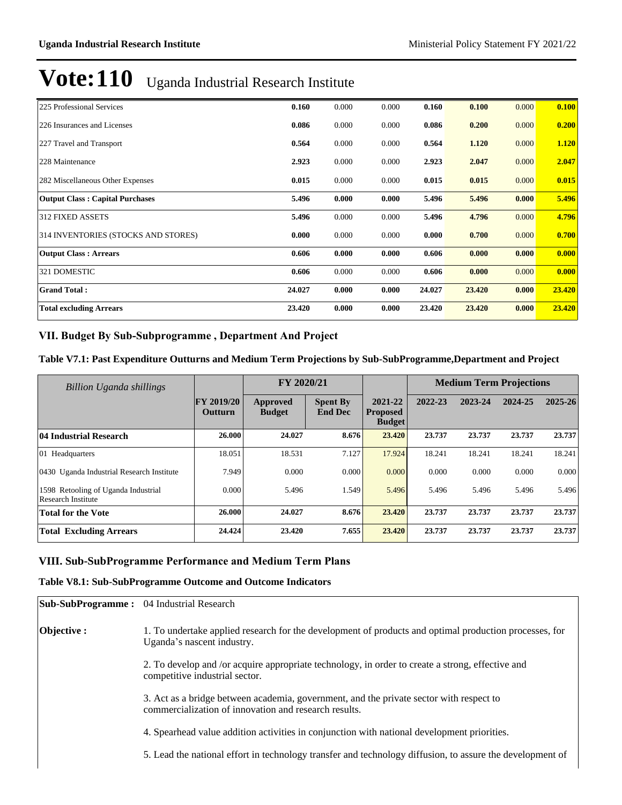| 225 Professional Services              | 0.160  | 0.000 | 0.000 | 0.160  | 0.100  | 0.000 | 0.100  |
|----------------------------------------|--------|-------|-------|--------|--------|-------|--------|
| 226 Insurances and Licenses            | 0.086  | 0.000 | 0.000 | 0.086  | 0.200  | 0.000 | 0.200  |
| 227 Travel and Transport               | 0.564  | 0.000 | 0.000 | 0.564  | 1.120  | 0.000 | 1.120  |
| 228 Maintenance                        | 2.923  | 0.000 | 0.000 | 2.923  | 2.047  | 0.000 | 2.047  |
| 282 Miscellaneous Other Expenses       | 0.015  | 0.000 | 0.000 | 0.015  | 0.015  | 0.000 | 0.015  |
| <b>Output Class: Capital Purchases</b> | 5.496  | 0.000 | 0.000 | 5.496  | 5.496  | 0.000 | 5.496  |
| <b>312 FIXED ASSETS</b>                | 5.496  | 0.000 | 0.000 | 5.496  | 4.796  | 0.000 | 4.796  |
| 314 INVENTORIES (STOCKS AND STORES)    | 0.000  | 0.000 | 0.000 | 0.000  | 0.700  | 0.000 | 0.700  |
| <b>Output Class: Arrears</b>           | 0.606  | 0.000 | 0.000 | 0.606  | 0.000  | 0.000 | 0.000  |
| 321 DOMESTIC                           | 0.606  | 0.000 | 0.000 | 0.606  | 0.000  | 0.000 | 0.000  |
| <b>Grand Total:</b>                    | 24.027 | 0.000 | 0.000 | 24.027 | 23.420 | 0.000 | 23.420 |
| <b>Total excluding Arrears</b>         | 23.420 | 0.000 | 0.000 | 23.420 | 23.420 | 0.000 | 23.420 |

### VII. Budget By Sub-Subprogramme, Department And Project

### **Table V7.1: Past Expenditure Outturns and Medium Term Projections by Sub-SubProgramme,Department and Project**

| Billion Uganda shillings                                         |                                     | FY 2020/21                |                                   |                                             |         | <b>Medium Term Projections</b> |         |             |
|------------------------------------------------------------------|-------------------------------------|---------------------------|-----------------------------------|---------------------------------------------|---------|--------------------------------|---------|-------------|
|                                                                  | <b>FY 2019/20</b><br><b>Outturn</b> | Approved<br><b>Budget</b> | <b>Spent By</b><br><b>End Dec</b> | 2021-22<br><b>Proposed</b><br><b>Budget</b> | 2022-23 | 2023-24                        | 2024-25 | $2025 - 26$ |
| 04 Industrial Research                                           | 26.000                              | 24.027                    | 8.676                             | 23,420                                      | 23.737  | 23.737                         | 23.737  | 23.737      |
| 01 Headquarters                                                  | 18.051                              | 18.531                    | 7.127                             | 17.924                                      | 18.241  | 18.241                         | 18.241  | 18.241      |
| 0430 Uganda Industrial Research Institute                        | 7.949                               | 0.000                     | 0.000                             | 0.000                                       | 0.000   | 0.000                          | 0.000   | 0.000       |
| 1598 Retooling of Uganda Industrial<br><b>Research Institute</b> | 0.000                               | 5.496                     | 1.549                             | 5.496                                       | 5.496   | 5.496                          | 5.496   | 5.496       |
| <b>Total for the Vote</b>                                        | 26.000                              | 24.027                    | 8.676                             | 23,420                                      | 23.737  | 23.737                         | 23.737  | 23.737      |
| <b>Total Excluding Arrears</b>                                   | 24.424                              | 23.420                    | 7.655                             | 23,420                                      | 23.737  | 23.737                         | 23.737  | 23.737      |

### VIII. Sub-SubProgramme Performance and Medium Term Plans

### **Table V8.1: Sub-SubProgramme Outcome and Outcome Indicators**

| <b>Sub-SubProgramme:</b> 04 Industrial Research |                                                                                                                                                  |
|-------------------------------------------------|--------------------------------------------------------------------------------------------------------------------------------------------------|
| Objective :                                     | 1. To undertake applied research for the development of products and optimal production processes, for<br>Uganda's nascent industry.             |
|                                                 | 2. To develop and /or acquire appropriate technology, in order to create a strong, effective and<br>competitive industrial sector.               |
|                                                 | 3. Act as a bridge between academia, government, and the private sector with respect to<br>commercialization of innovation and research results. |
|                                                 | 4. Spearhead value addition activities in conjunction with national development priorities.                                                      |
|                                                 | 5. Lead the national effort in technology transfer and technology diffusion, to assure the development of                                        |
|                                                 |                                                                                                                                                  |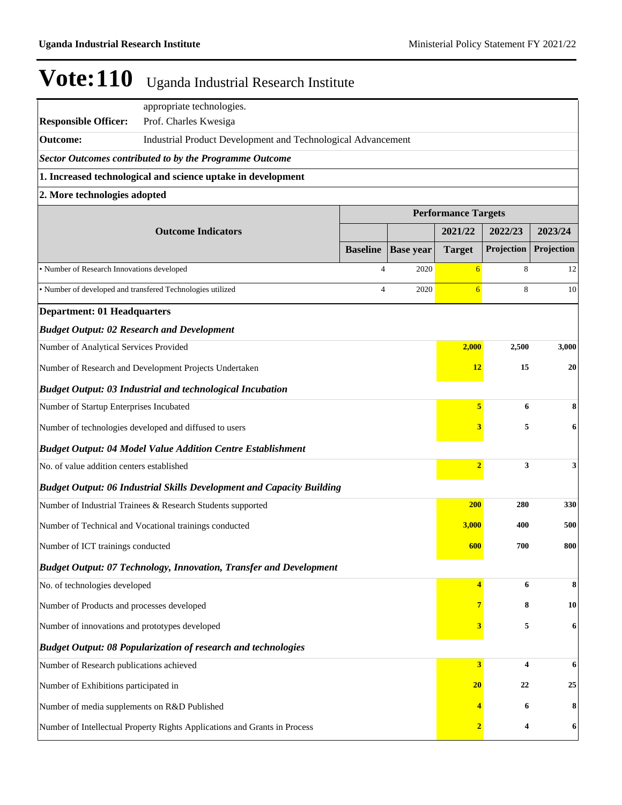|                                                                                 | appropriate technologies.                                                    |                 |                  |                                       |              |            |
|---------------------------------------------------------------------------------|------------------------------------------------------------------------------|-----------------|------------------|---------------------------------------|--------------|------------|
| <b>Responsible Officer:</b>                                                     | Prof. Charles Kwesiga                                                        |                 |                  |                                       |              |            |
| <b>Outcome:</b><br>Industrial Product Development and Technological Advancement |                                                                              |                 |                  |                                       |              |            |
|                                                                                 | <b>Sector Outcomes contributed to by the Programme Outcome</b>               |                 |                  |                                       |              |            |
|                                                                                 | 1. Increased technological and science uptake in development                 |                 |                  |                                       |              |            |
| 2. More technologies adopted                                                    |                                                                              |                 |                  |                                       |              |            |
|                                                                                 | <b>Outcome Indicators</b>                                                    |                 |                  | <b>Performance Targets</b><br>2021/22 | 2022/23      | 2023/24    |
|                                                                                 |                                                                              | <b>Baseline</b> | <b>Base year</b> | <b>Target</b>                         | Projection   | Projection |
| · Number of Research Innovations developed                                      |                                                                              | 4               | 2020             | $6\overline{}$                        | 8            | 12         |
|                                                                                 | • Number of developed and transfered Technologies utilized                   | 4               | 2020             | 6                                     | 8            | 10         |
| <b>Department: 01 Headquarters</b>                                              |                                                                              |                 |                  |                                       |              |            |
|                                                                                 | <b>Budget Output: 02 Research and Development</b>                            |                 |                  |                                       |              |            |
| Number of Analytical Services Provided                                          |                                                                              |                 |                  | 2,000                                 | 2,500        | 3,000      |
| 15<br>Number of Research and Development Projects Undertaken<br><b>12</b>       |                                                                              |                 |                  |                                       |              | 20         |
| <b>Budget Output: 03 Industrial and technological Incubation</b>                |                                                                              |                 |                  |                                       |              |            |
| Number of Startup Enterprises Incubated                                         |                                                                              |                 |                  | 5                                     | 6            | 8          |
| Number of technologies developed and diffused to users<br>3                     |                                                                              |                 |                  |                                       |              | 6          |
|                                                                                 | <b>Budget Output: 04 Model Value Addition Centre Establishment</b>           |                 |                  |                                       |              |            |
| No. of value addition centers established                                       |                                                                              |                 |                  | $\overline{2}$                        | 3            | 3          |
|                                                                                 | <b>Budget Output: 06 Industrial Skills Development and Capacity Building</b> |                 |                  |                                       |              |            |
|                                                                                 | Number of Industrial Trainees & Research Students supported                  |                 |                  | <b>200</b>                            | 280          | 330        |
| Number of Technical and Vocational trainings conducted                          |                                                                              |                 |                  |                                       | 3,000<br>400 | 500        |
| Number of ICT trainings conducted                                               |                                                                              |                 |                  | 600                                   | 700          | 800        |
|                                                                                 | <b>Budget Output: 07 Technology, Innovation, Transfer and Development</b>    |                 |                  |                                       |              |            |
| No. of technologies developed                                                   |                                                                              |                 |                  | 4                                     | 6            | 8          |
| Number of Products and processes developed                                      |                                                                              |                 |                  |                                       | 8            | 10         |
| Number of innovations and prototypes developed                                  |                                                                              |                 |                  |                                       | 5            | 6          |
|                                                                                 | <b>Budget Output: 08 Popularization of research and technologies</b>         |                 |                  |                                       |              |            |
| Number of Research publications achieved                                        |                                                                              |                 |                  | 3                                     | 4            | 6          |
| Number of Exhibitions participated in                                           |                                                                              |                 |                  | $20\,$                                | 22           | 25         |
| Number of media supplements on R&D Published                                    |                                                                              |                 |                  |                                       | 6            | 8          |
|                                                                                 | Number of Intellectual Property Rights Applications and Grants in Process    |                 |                  | $\overline{\mathbf{2}}$               | 4            | 6          |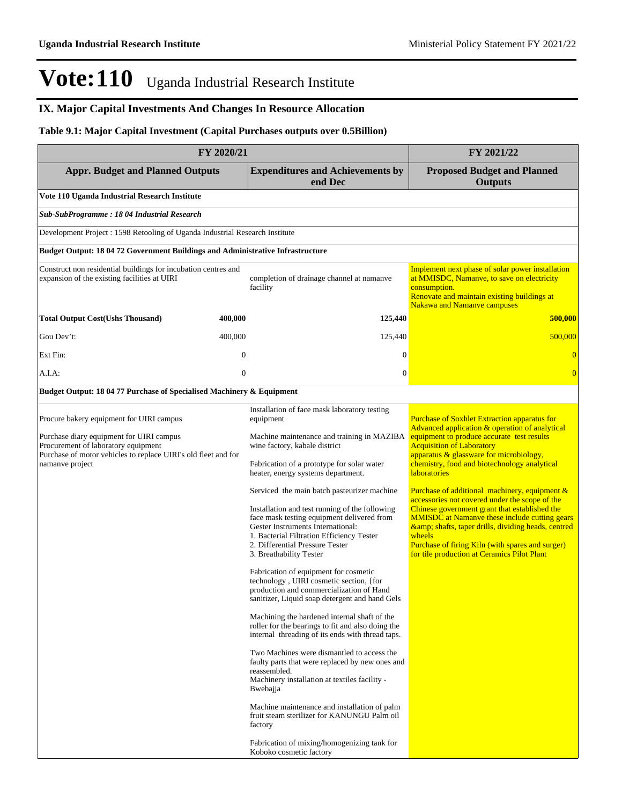### **IX. Major Capital Investments And Changes In Resource Allocation**

### **Table 9.1: Major Capital Investment (Capital Purchases outputs over 0.5Billion)**

| FY 2020/21                                                                                                                                                                                                       | FY 2021/22       |                                                                                                                                                                                                                                                                                                                                                                                                                                                                                                                                                                                                                                                                                                                                                                                                                                                                                                                                                                                                                                                                                                                                                                                                               |                                                                                                                                                                                                                                                                                                                                                                                                                                                                                                                                                                                                                                                                                                  |
|------------------------------------------------------------------------------------------------------------------------------------------------------------------------------------------------------------------|------------------|---------------------------------------------------------------------------------------------------------------------------------------------------------------------------------------------------------------------------------------------------------------------------------------------------------------------------------------------------------------------------------------------------------------------------------------------------------------------------------------------------------------------------------------------------------------------------------------------------------------------------------------------------------------------------------------------------------------------------------------------------------------------------------------------------------------------------------------------------------------------------------------------------------------------------------------------------------------------------------------------------------------------------------------------------------------------------------------------------------------------------------------------------------------------------------------------------------------|--------------------------------------------------------------------------------------------------------------------------------------------------------------------------------------------------------------------------------------------------------------------------------------------------------------------------------------------------------------------------------------------------------------------------------------------------------------------------------------------------------------------------------------------------------------------------------------------------------------------------------------------------------------------------------------------------|
| <b>Appr. Budget and Planned Outputs</b>                                                                                                                                                                          |                  | <b>Expenditures and Achievements by</b><br>end Dec                                                                                                                                                                                                                                                                                                                                                                                                                                                                                                                                                                                                                                                                                                                                                                                                                                                                                                                                                                                                                                                                                                                                                            | <b>Proposed Budget and Planned</b><br><b>Outputs</b>                                                                                                                                                                                                                                                                                                                                                                                                                                                                                                                                                                                                                                             |
| Vote 110 Uganda Industrial Research Institute                                                                                                                                                                    |                  |                                                                                                                                                                                                                                                                                                                                                                                                                                                                                                                                                                                                                                                                                                                                                                                                                                                                                                                                                                                                                                                                                                                                                                                                               |                                                                                                                                                                                                                                                                                                                                                                                                                                                                                                                                                                                                                                                                                                  |
| Sub-SubProgramme: 18 04 Industrial Research                                                                                                                                                                      |                  |                                                                                                                                                                                                                                                                                                                                                                                                                                                                                                                                                                                                                                                                                                                                                                                                                                                                                                                                                                                                                                                                                                                                                                                                               |                                                                                                                                                                                                                                                                                                                                                                                                                                                                                                                                                                                                                                                                                                  |
| Development Project: 1598 Retooling of Uganda Industrial Research Institute                                                                                                                                      |                  |                                                                                                                                                                                                                                                                                                                                                                                                                                                                                                                                                                                                                                                                                                                                                                                                                                                                                                                                                                                                                                                                                                                                                                                                               |                                                                                                                                                                                                                                                                                                                                                                                                                                                                                                                                                                                                                                                                                                  |
| Budget Output: 18 04 72 Government Buildings and Administrative Infrastructure                                                                                                                                   |                  |                                                                                                                                                                                                                                                                                                                                                                                                                                                                                                                                                                                                                                                                                                                                                                                                                                                                                                                                                                                                                                                                                                                                                                                                               |                                                                                                                                                                                                                                                                                                                                                                                                                                                                                                                                                                                                                                                                                                  |
| Construct non residential buildings for incubation centres and<br>expansion of the existing facilities at UIRI                                                                                                   |                  | completion of drainage channel at namanve<br>facility                                                                                                                                                                                                                                                                                                                                                                                                                                                                                                                                                                                                                                                                                                                                                                                                                                                                                                                                                                                                                                                                                                                                                         | Implement next phase of solar power installation<br>at MMISDC, Namanye, to save on electricity<br>consumption.<br>Renovate and maintain existing buildings at<br><b>Nakawa and Namanve campuses</b>                                                                                                                                                                                                                                                                                                                                                                                                                                                                                              |
| <b>Total Output Cost(Ushs Thousand)</b>                                                                                                                                                                          | 400,000          | 125,440                                                                                                                                                                                                                                                                                                                                                                                                                                                                                                                                                                                                                                                                                                                                                                                                                                                                                                                                                                                                                                                                                                                                                                                                       | 500,000                                                                                                                                                                                                                                                                                                                                                                                                                                                                                                                                                                                                                                                                                          |
| Gou Dev't:                                                                                                                                                                                                       | 400,000          | 125,440                                                                                                                                                                                                                                                                                                                                                                                                                                                                                                                                                                                                                                                                                                                                                                                                                                                                                                                                                                                                                                                                                                                                                                                                       | 500,000                                                                                                                                                                                                                                                                                                                                                                                                                                                                                                                                                                                                                                                                                          |
| Ext Fin:                                                                                                                                                                                                         | $\boldsymbol{0}$ | 0                                                                                                                                                                                                                                                                                                                                                                                                                                                                                                                                                                                                                                                                                                                                                                                                                                                                                                                                                                                                                                                                                                                                                                                                             | $\overline{0}$                                                                                                                                                                                                                                                                                                                                                                                                                                                                                                                                                                                                                                                                                   |
| A.I.A:                                                                                                                                                                                                           | $\boldsymbol{0}$ | $\mathbf{0}$                                                                                                                                                                                                                                                                                                                                                                                                                                                                                                                                                                                                                                                                                                                                                                                                                                                                                                                                                                                                                                                                                                                                                                                                  | $\overline{0}$                                                                                                                                                                                                                                                                                                                                                                                                                                                                                                                                                                                                                                                                                   |
| Budget Output: 18 04 77 Purchase of Specialised Machinery & Equipment                                                                                                                                            |                  |                                                                                                                                                                                                                                                                                                                                                                                                                                                                                                                                                                                                                                                                                                                                                                                                                                                                                                                                                                                                                                                                                                                                                                                                               |                                                                                                                                                                                                                                                                                                                                                                                                                                                                                                                                                                                                                                                                                                  |
| Procure bakery equipment for UIRI campus<br>Purchase diary equipment for UIRI campus<br>Procurement of laboratory equipment<br>Purchase of motor vehicles to replace UIRI's old fleet and for<br>namanve project |                  | Installation of face mask laboratory testing<br>equipment<br>Machine maintenance and training in MAZIBA<br>wine factory, kabale district<br>Fabrication of a prototype for solar water<br>heater, energy systems department.<br>Serviced the main batch pasteurizer machine<br>Installation and test running of the following<br>face mask testing equipment delivered from<br>Gester Instruments International:<br>1. Bacterial Filtration Efficiency Tester<br>2. Differential Pressure Tester<br>3. Breathability Tester<br>Fabrication of equipment for cosmetic<br>technology, UIRI cosmetic section, {for<br>production and commercialization of Hand<br>sanitizer, Liquid soap detergent and hand Gels<br>Machining the hardened internal shaft of the<br>roller for the bearings to fit and also doing the<br>internal threading of its ends with thread taps.<br>Two Machines were dismantled to access the<br>faulty parts that were replaced by new ones and<br>reassembled.<br>Machinery installation at textiles facility -<br>Bwebajja<br>Machine maintenance and installation of palm<br>fruit steam sterilizer for KANUNGU Palm oil<br>factory<br>Fabrication of mixing/homogenizing tank for | <b>Purchase of Soxhlet Extraction apparatus for</b><br>Advanced application & operation of analytical<br>equipment to produce accurate test results<br><b>Acquisition of Laboratory</b><br>apparatus & glassware for microbiology,<br>chemistry, food and biotechnology analytical<br><b>laboratories</b><br><b>Purchase of additional machinery, equipment &amp;</b><br>accessories not covered under the scope of the<br>Chinese government grant that established the<br><b>MMISDC</b> at Namanye these include cutting gears<br>& shafts, taper drills, dividing heads, centred<br>wheels<br>Purchase of firing Kiln (with spares and surger)<br>for tile production at Ceramics Pilot Plant |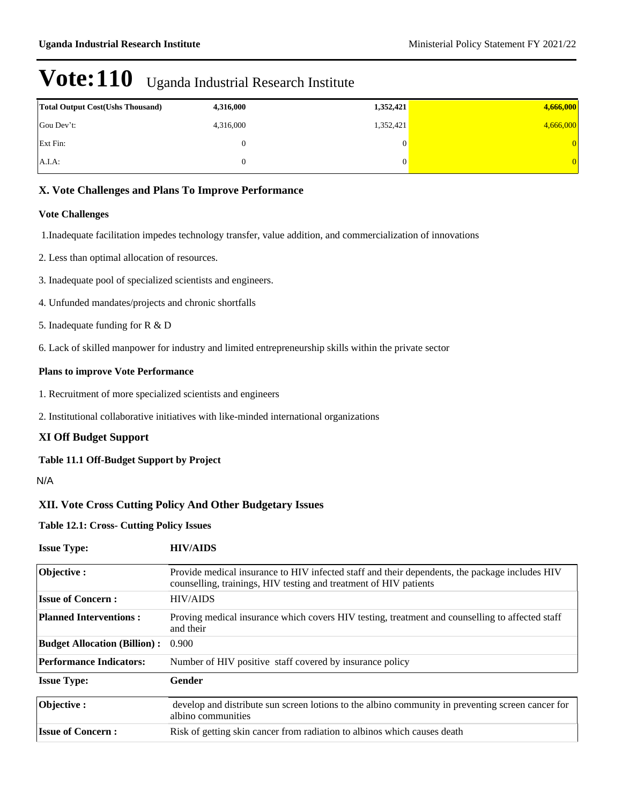| <b>Total Output Cost (Ushs Thousand)</b> | 4,316,000 | 1,352,421 | 4,666,000 |
|------------------------------------------|-----------|-----------|-----------|
| Gou Dev't:                               | 4,316,000 | 1,352,421 | 4,666,000 |
| <b>Ext Fin:</b>                          |           | 0         | 0         |
| $A.I.A$ :                                |           | 0         | 0.        |

### **X. Vote Challenges and Plans To Improve Performance**

#### **Vote Challenges**

1.Inadequate facilitation impedes technology transfer, value addition, and commercialization of innovations

- 2. Less than optimal allocation of resources.
- 3. Inadequate pool of specialized scientists and engineers.
- 4. Unfunded mandates/projects and chronic shortfalls
- 5. Inadequate funding for R & D
- 6. Lack of skilled manpower for industry and limited entrepreneurship skills within the private sector

#### **Plans to improve Vote Performance**

- 1. Recruitment of more specialized scientists and engineers
- 2. Institutional collaborative initiatives with like-minded international organizations

#### **XI Off Budget Support**

#### **Table 11.1 Off-Budget Support by Project**

N/A

### **XII. Vote Cross Cutting Policy And Other Budgetary Issues**

### **Table 12.1: Cross- Cutting Policy Issues**

| <b>Issue Type:</b>                  | <b>HIV/AIDS</b>                                                                                                                                                     |
|-------------------------------------|---------------------------------------------------------------------------------------------------------------------------------------------------------------------|
| Objective:                          | Provide medical insurance to HIV infected staff and their dependents, the package includes HIV<br>counselling, trainings, HIV testing and treatment of HIV patients |
| <b>Issue of Concern:</b>            | <b>HIV/AIDS</b>                                                                                                                                                     |
| <b>Planned Interventions:</b>       | Proving medical insurance which covers HIV testing, treatment and counselling to affected staff<br>and their                                                        |
| <b>Budget Allocation (Billion):</b> | 0.900                                                                                                                                                               |
| <b>Performance Indicators:</b>      | Number of HIV positive staff covered by insurance policy                                                                                                            |
| <b>Issue Type:</b>                  | Gender                                                                                                                                                              |
| Objective:                          | develop and distribute sun screen lotions to the albino community in preventing screen cancer for<br>albino communities                                             |
| <b>Issue of Concern:</b>            | Risk of getting skin cancer from radiation to albinos which causes death                                                                                            |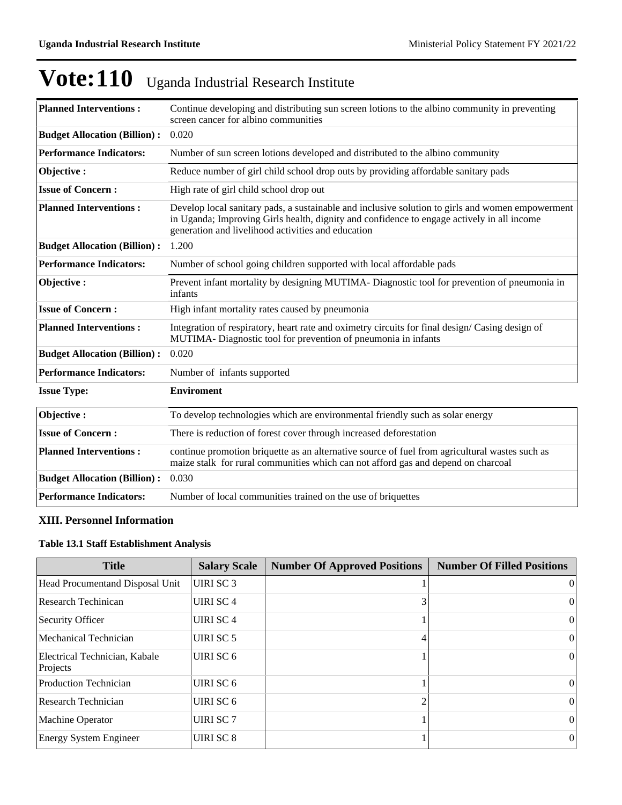|  | Vote: 110 Uganda Industrial Research Institute |
|--|------------------------------------------------|
|--|------------------------------------------------|

| <b>Planned Interventions:</b>       | Continue developing and distributing sun screen lotions to the albino community in preventing<br>screen cancer for albino communities                                                                                                                |
|-------------------------------------|------------------------------------------------------------------------------------------------------------------------------------------------------------------------------------------------------------------------------------------------------|
| <b>Budget Allocation (Billion):</b> | 0.020                                                                                                                                                                                                                                                |
| <b>Performance Indicators:</b>      | Number of sun screen lotions developed and distributed to the albino community                                                                                                                                                                       |
| Objective:                          | Reduce number of girl child school drop outs by providing affordable sanitary pads                                                                                                                                                                   |
| <b>Issue of Concern:</b>            | High rate of girl child school drop out                                                                                                                                                                                                              |
| <b>Planned Interventions:</b>       | Develop local sanitary pads, a sustainable and inclusive solution to girls and women empowerment<br>in Uganda; Improving Girls health, dignity and confidence to engage actively in all income<br>generation and livelihood activities and education |
| <b>Budget Allocation (Billion):</b> | 1.200                                                                                                                                                                                                                                                |
| <b>Performance Indicators:</b>      | Number of school going children supported with local affordable pads                                                                                                                                                                                 |
| Objective:                          | Prevent infant mortality by designing MUTIMA-Diagnostic tool for prevention of pneumonia in<br>infants                                                                                                                                               |
| <b>Issue of Concern:</b>            | High infant mortality rates caused by pneumonia                                                                                                                                                                                                      |
| <b>Planned Interventions:</b>       | Integration of respiratory, heart rate and oximetry circuits for final design/Casing design of<br>MUTIMA- Diagnostic tool for prevention of pneumonia in infants                                                                                     |
| <b>Budget Allocation (Billion):</b> | 0.020                                                                                                                                                                                                                                                |
| <b>Performance Indicators:</b>      | Number of infants supported                                                                                                                                                                                                                          |
| <b>Issue Type:</b>                  | <b>Enviroment</b>                                                                                                                                                                                                                                    |
| Objective:                          | To develop technologies which are environmental friendly such as solar energy                                                                                                                                                                        |
| <b>Issue of Concern:</b>            | There is reduction of forest cover through increased deforestation                                                                                                                                                                                   |
| <b>Planned Interventions:</b>       | continue promotion briquette as an alternative source of fuel from agricultural wastes such as<br>maize stalk for rural communities which can not afford gas and depend on charcoal                                                                  |
| <b>Budget Allocation (Billion):</b> | 0.030                                                                                                                                                                                                                                                |
| <b>Performance Indicators:</b>      | Number of local communities trained on the use of briquettes                                                                                                                                                                                         |

### **XIII. Personnel Information**

## **Table 13.1 Staff Establishment Analysis**

| <b>Title</b>                              | <b>Salary Scale</b>  | <b>Number Of Approved Positions</b> | <b>Number Of Filled Positions</b> |
|-------------------------------------------|----------------------|-------------------------------------|-----------------------------------|
| Head Procumentand Disposal Unit           | UIRI SC 3            |                                     | $\Omega$                          |
| Research Techinican                       | <b>UIRI SC 4</b>     |                                     | 0                                 |
| Security Officer                          | UIRI SC <sub>4</sub> |                                     | $\theta$                          |
| Mechanical Technician                     | UIRI SC 5            | 4                                   | $\vert$                           |
| Electrical Technician, Kabale<br>Projects | UIRI SC 6            |                                     | $\Omega$                          |
| <b>Production Technician</b>              | UIRI SC 6            |                                     | $\Omega$                          |
| Research Technician                       | UIRI SC 6            |                                     | $\Omega$                          |
| <b>Machine Operator</b>                   | UIRI SC 7            |                                     | $\Omega$                          |
| <b>Energy System Engineer</b>             | UIRI SC 8            |                                     | $\theta$                          |